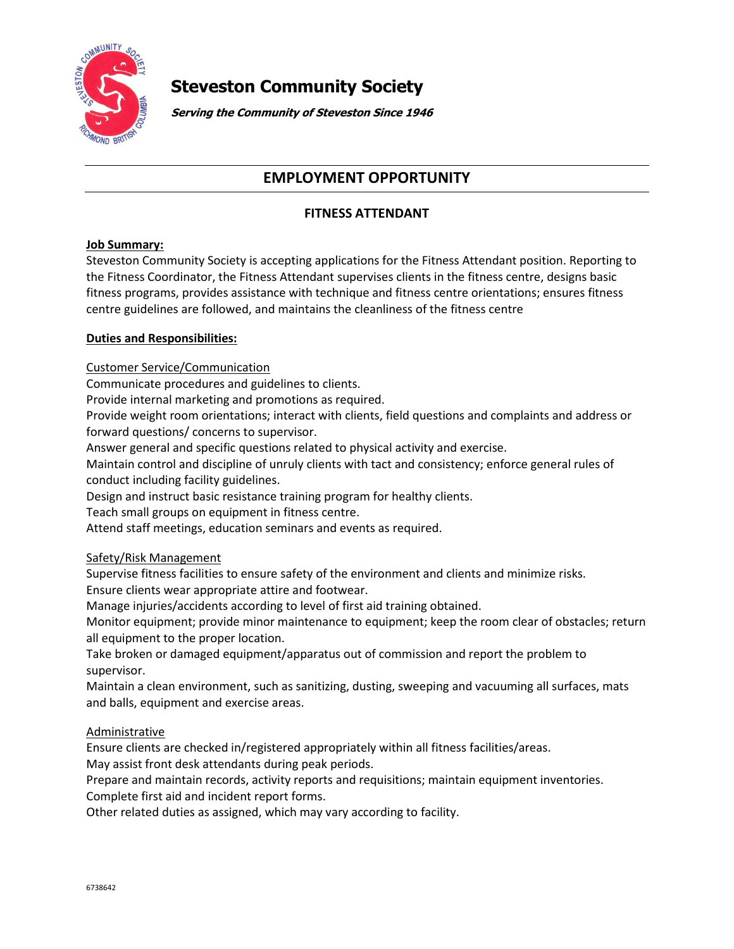

# **Steveston Community Society**

**Serving the Community of Steveston Since 1946**

# **EMPLOYMENT OPPORTUNITY**

# **FITNESS ATTENDANT**

## **Job Summary:**

Steveston Community Society is accepting applications for the Fitness Attendant position. Reporting to the Fitness Coordinator, the Fitness Attendant supervises clients in the fitness centre, designs basic fitness programs, provides assistance with technique and fitness centre orientations; ensures fitness centre guidelines are followed, and maintains the cleanliness of the fitness centre

## **Duties and Responsibilities:**

Customer Service/Communication

Communicate procedures and guidelines to clients.

Provide internal marketing and promotions as required.

Provide weight room orientations; interact with clients, field questions and complaints and address or forward questions/ concerns to supervisor.

Answer general and specific questions related to physical activity and exercise.

Maintain control and discipline of unruly clients with tact and consistency; enforce general rules of conduct including facility guidelines.

Design and instruct basic resistance training program for healthy clients.

Teach small groups on equipment in fitness centre.

Attend staff meetings, education seminars and events as required.

# Safety/Risk Management

Supervise fitness facilities to ensure safety of the environment and clients and minimize risks. Ensure clients wear appropriate attire and footwear.

Manage injuries/accidents according to level of first aid training obtained.

Monitor equipment; provide minor maintenance to equipment; keep the room clear of obstacles; return all equipment to the proper location.

Take broken or damaged equipment/apparatus out of commission and report the problem to supervisor.

Maintain a clean environment, such as sanitizing, dusting, sweeping and vacuuming all surfaces, mats and balls, equipment and exercise areas.

#### **Administrative**

Ensure clients are checked in/registered appropriately within all fitness facilities/areas. May assist front desk attendants during peak periods.

Prepare and maintain records, activity reports and requisitions; maintain equipment inventories.

Complete first aid and incident report forms.

Other related duties as assigned, which may vary according to facility.